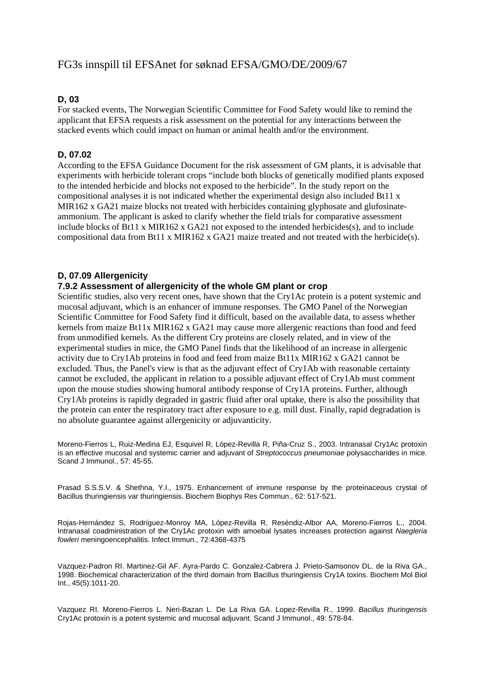# FG3s innspill til EFSAnet for søknad EFSA/GMO/DE/2009/67

## **D, 03**

For stacked events, The Norwegian Scientific Committee for Food Safety would like to remind the applicant that EFSA requests a risk assessment on the potential for any interactions between the stacked events which could impact on human or animal health and/or the environment.

# **D, 07.02**

According to the EFSA Guidance Document for the risk assessment of GM plants, it is advisable that experiments with herbicide tolerant crops "include both blocks of genetically modified plants exposed to the intended herbicide and blocks not exposed to the herbicide". In the study report on the compositional analyses it is not indicated whether the experimental design also included Bt11 x MIR162 x GA21 maize blocks not treated with herbicides containing glyphosate and glufosinateammonium. The applicant is asked to clarify whether the field trials for comparative assessment include blocks of Bt11 x MIR162 x GA21 not exposed to the intended herbicides(s), and to include compositional data from Bt11 x MIR162 x GA21 maize treated and not treated with the herbicide(s).

## **D, 07.09 Allergenicity**

#### **7.9.2 Assessment of allergenicity of the whole GM plant or crop**

Scientific studies, also very recent ones, have shown that the Cry1Ac protein is a potent systemic and mucosal adjuvant, which is an enhancer of immune responses. The GMO Panel of the Norwegian Scientific Committee for Food Safety find it difficult, based on the available data, to assess whether kernels from maize Bt11x MIR162 x GA21 may cause more allergenic reactions than food and feed from unmodified kernels. As the different Cry proteins are closely related, and in view of the experimental studies in mice, the GMO Panel finds that the likelihood of an increase in allergenic activity due to Cry1Ab proteins in food and feed from maize Bt11x MIR162 x GA21 cannot be excluded. Thus, the Panel's view is that as the adjuvant effect of Cry1Ab with reasonable certainty cannot be excluded, the applicant in relation to a possible adjuvant effect of Cry1Ab must comment upon the mouse studies showing humoral antibody response of Cry1A proteins. Further, although Cry1Ab proteins is rapidly degraded in gastric fluid after oral uptake, there is also the possibility that the protein can enter the respiratory tract after exposure to e.g. mill dust. Finally, rapid degradation is no absolute guarantee against allergenicity or adjuvanticity.

Moreno-Fierros L, Ruiz-Medina EJ, Esquivel R, López-Revilla R, Piña-Cruz S., 2003. Intranasal Cry1Ac protoxin is an effective mucosal and systemic carrier and adjuvant of *Streptococcus pneumoniae* polysaccharides in mice. Scand J Immunol., 57: 45-55.

Prasad S.S.S.V. & Shethna, Y.I., 1975. Enhancement of immune response by the proteinaceous crystal of Bacillus thuringiensis var thuringiensis. Biochem Biophys Res Commun., 62: 517-521.

Rojas-Hernández S, Rodríguez-Monroy MA, López-Revilla R, Reséndiz-Albor AA, Moreno-Fierros L., 2004. Intranasal coadministration of the Cry1Ac protoxin with amoebal lysates increases protection against *Naegleria fowleri* meningoencephalitis. Infect Immun., 72:4368-4375

Vazquez-Padron RI. Martinez-Gil AF. Ayra-Pardo C. Gonzalez-Cabrera J. Prieto-Samsonov DL. de la Riva GA., 1998. Biochemical characterization of the third domain from Bacillus thuringiensis Cry1A toxins. Biochem Mol Biol Int., 45(5):1011-20.

Vazquez RI. Moreno-Fierros L. Neri-Bazan L. De La Riva GA. Lopez-Revilla R., 1999. *Bacillus thuringensis* Cry1Ac protoxin is a potent systemic and mucosal adjuvant. Scand J Immunol., 49: 578-84.